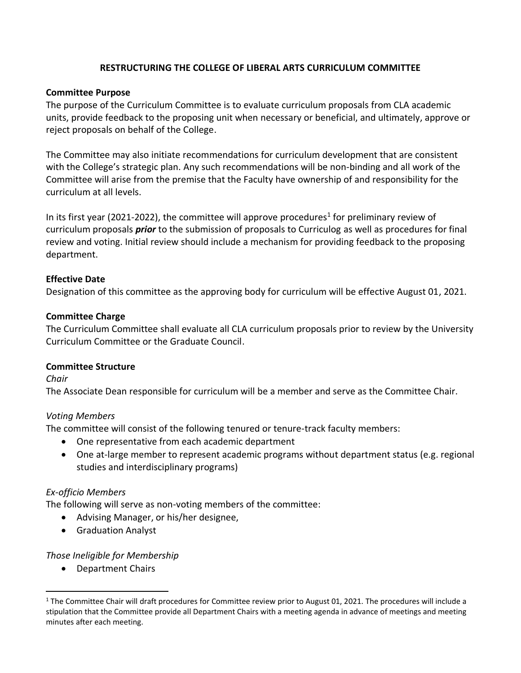# **RESTRUCTURING THE COLLEGE OF LIBERAL ARTS CURRICULUM COMMITTEE**

### **Committee Purpose**

The purpose of the Curriculum Committee is to evaluate curriculum proposals from CLA academic units, provide feedback to the proposing unit when necessary or beneficial, and ultimately, approve or reject proposals on behalf of the College.

The Committee may also initiate recommendations for curriculum development that are consistent with the College's strategic plan. Any such recommendations will be non-binding and all work of the Committee will arise from the premise that the Faculty have ownership of and responsibility for the curriculum at all levels.

In its first year (2021-2022), the committee will approve procedures<sup>1</sup> for preliminary review of curriculum proposals *prior* to the submission of proposals to Curriculog as well as procedures for final review and voting. Initial review should include a mechanism for providing feedback to the proposing department.

### **Effective Date**

Designation of this committee as the approving body for curriculum will be effective August 01, 2021.

#### **Committee Charge**

The Curriculum Committee shall evaluate all CLA curriculum proposals prior to review by the University Curriculum Committee or the Graduate Council.

#### **Committee Structure**

*Chair*

The Associate Dean responsible for curriculum will be a member and serve as the Committee Chair.

### *Voting Members*

The committee will consist of the following tenured or tenure-track faculty members:

- One representative from each academic department
- One at-large member to represent academic programs without department status (e.g. regional studies and interdisciplinary programs)

### *Ex-officio Members*

The following will serve as non-voting members of the committee:

- Advising Manager, or his/her designee,
- Graduation Analyst

### *Those Ineligible for Membership*

• Department Chairs

<sup>&</sup>lt;sup>1</sup> The Committee Chair will draft procedures for Committee review prior to August 01, 2021. The procedures will include a stipulation that the Committee provide all Department Chairs with a meeting agenda in advance of meetings and meeting minutes after each meeting.